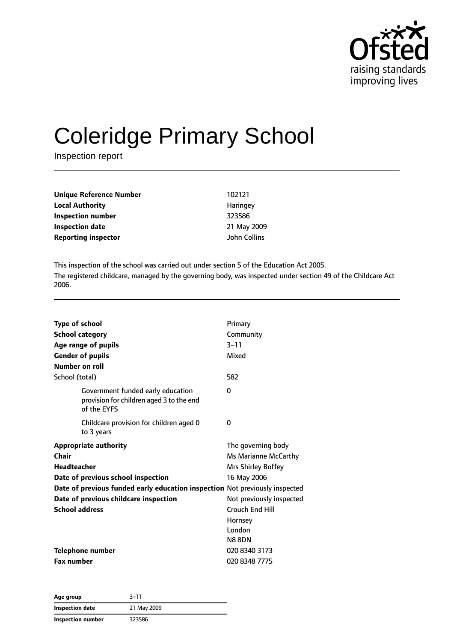

# Coleridge Primary School

Inspection report

| Unique Reference Number    | 102121              |
|----------------------------|---------------------|
| <b>Local Authority</b>     | Haringey            |
| Inspection number          | 323586              |
| <b>Inspection date</b>     | 21 May 2009         |
| <b>Reporting inspector</b> | <b>John Collins</b> |

This inspection of the school was carried out under section 5 of the Education Act 2005. The registered childcare, managed by the governing body, was inspected under section 49 of the Childcare Act 2006.

| <b>Type of school</b>                                                                        | Primary                  |
|----------------------------------------------------------------------------------------------|--------------------------|
| <b>School category</b>                                                                       | Community                |
| Age range of pupils                                                                          | $3 - 11$                 |
| <b>Gender of pupils</b>                                                                      | Mixed                    |
| Number on roll                                                                               |                          |
| School (total)                                                                               | 582                      |
| Government funded early education<br>provision for children aged 3 to the end<br>of the EYFS | 0                        |
| Childcare provision for children aged 0<br>to 3 years                                        | 0                        |
| <b>Appropriate authority</b>                                                                 | The governing body       |
| Chair                                                                                        | Ms Marianne McCarthy     |
| Headteacher                                                                                  | Mrs Shirley Boffey       |
| Date of previous school inspection                                                           | 16 May 2006              |
| Date of previous funded early education inspection Not previously inspected                  |                          |
| Date of previous childcare inspection                                                        | Not previously inspected |
| <b>School address</b>                                                                        | <b>Crouch End Hill</b>   |
|                                                                                              | Hornsey                  |
|                                                                                              | London                   |
|                                                                                              | <b>N8 8DN</b>            |
| <b>Telephone number</b>                                                                      | 020 8340 3173            |
| <b>Fax number</b>                                                                            | 020 8348 7775            |

| Age group         | 3–11        |  |
|-------------------|-------------|--|
| Inspection date   | 21 May 2009 |  |
| Inspection number | 323586      |  |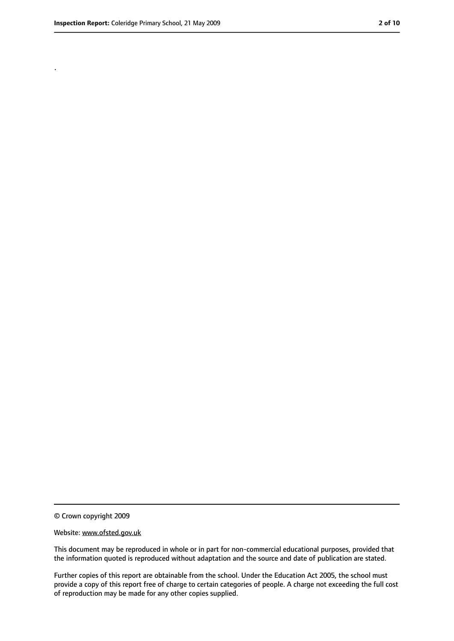.

<sup>©</sup> Crown copyright 2009

Website: www.ofsted.gov.uk

This document may be reproduced in whole or in part for non-commercial educational purposes, provided that the information quoted is reproduced without adaptation and the source and date of publication are stated.

Further copies of this report are obtainable from the school. Under the Education Act 2005, the school must provide a copy of this report free of charge to certain categories of people. A charge not exceeding the full cost of reproduction may be made for any other copies supplied.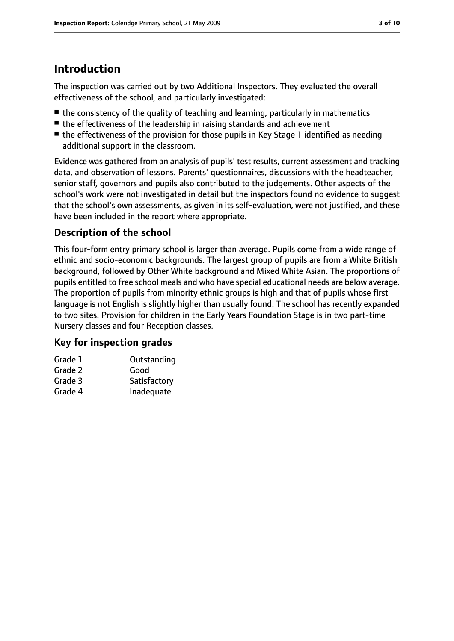# **Introduction**

The inspection was carried out by two Additional Inspectors. They evaluated the overall effectiveness of the school, and particularly investigated:

- the consistency of the quality of teaching and learning, particularly in mathematics
- the effectiveness of the leadership in raising standards and achievement
- the effectiveness of the provision for those pupils in Key Stage 1 identified as needing additional support in the classroom.

Evidence was gathered from an analysis of pupils' test results, current assessment and tracking data, and observation of lessons. Parents' questionnaires, discussions with the headteacher, senior staff, governors and pupils also contributed to the judgements. Other aspects of the school's work were not investigated in detail but the inspectors found no evidence to suggest that the school's own assessments, as given in its self-evaluation, were not justified, and these have been included in the report where appropriate.

#### **Description of the school**

This four-form entry primary school is larger than average. Pupils come from a wide range of ethnic and socio-economic backgrounds. The largest group of pupils are from a White British background, followed by Other White background and Mixed White Asian. The proportions of pupils entitled to free school meals and who have special educational needs are below average. The proportion of pupils from minority ethnic groups is high and that of pupils whose first language is not English is slightly higher than usually found. The school has recently expanded to two sites. Provision for children in the Early Years Foundation Stage is in two part-time Nursery classes and four Reception classes.

#### **Key for inspection grades**

| Grade 1 | Outstanding  |
|---------|--------------|
| Grade 2 | Good         |
| Grade 3 | Satisfactory |
| Grade 4 | Inadequate   |
|         |              |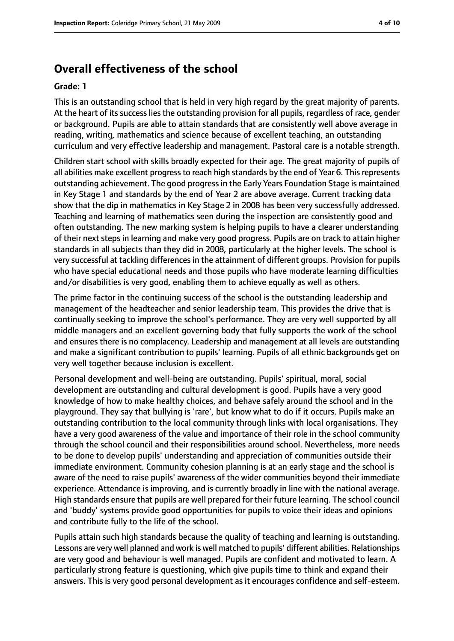## **Overall effectiveness of the school**

#### **Grade: 1**

This is an outstanding school that is held in very high regard by the great majority of parents. At the heart of its success lies the outstanding provision for all pupils, regardless of race, gender or background. Pupils are able to attain standards that are consistently well above average in reading, writing, mathematics and science because of excellent teaching, an outstanding curriculum and very effective leadership and management. Pastoral care is a notable strength.

Children start school with skills broadly expected for their age. The great majority of pupils of all abilities make excellent progress to reach high standards by the end of Year 6. This represents outstanding achievement. The good progressin the Early Years Foundation Stage is maintained in Key Stage 1 and standards by the end of Year 2 are above average. Current tracking data show that the dip in mathematics in Key Stage 2 in 2008 has been very successfully addressed. Teaching and learning of mathematics seen during the inspection are consistently good and often outstanding. The new marking system is helping pupils to have a clearer understanding of their next steps in learning and make very good progress. Pupils are on track to attain higher standards in all subjects than they did in 2008, particularly at the higher levels. The school is very successful at tackling differences in the attainment of different groups. Provision for pupils who have special educational needs and those pupils who have moderate learning difficulties and/or disabilities is very good, enabling them to achieve equally as well as others.

The prime factor in the continuing success of the school is the outstanding leadership and management of the headteacher and senior leadership team. This provides the drive that is continually seeking to improve the school's performance. They are very well supported by all middle managers and an excellent governing body that fully supports the work of the school and ensures there is no complacency. Leadership and management at all levels are outstanding and make a significant contribution to pupils' learning. Pupils of all ethnic backgrounds get on very well together because inclusion is excellent.

Personal development and well-being are outstanding. Pupils' spiritual, moral, social development are outstanding and cultural development is good. Pupils have a very good knowledge of how to make healthy choices, and behave safely around the school and in the playground. They say that bullying is 'rare', but know what to do if it occurs. Pupils make an outstanding contribution to the local community through links with local organisations. They have a very good awareness of the value and importance of their role in the school community through the school council and their responsibilities around school. Nevertheless, more needs to be done to develop pupils' understanding and appreciation of communities outside their immediate environment. Community cohesion planning is at an early stage and the school is aware of the need to raise pupils' awareness of the wider communities beyond their immediate experience. Attendance is improving, and is currently broadly in line with the national average. High standards ensure that pupils are well prepared for their future learning. The school council and 'buddy' systems provide good opportunities for pupils to voice their ideas and opinions and contribute fully to the life of the school.

Pupils attain such high standards because the quality of teaching and learning is outstanding. Lessons are very well planned and work is well matched to pupils' different abilities. Relationships are very good and behaviour is well managed. Pupils are confident and motivated to learn. A particularly strong feature is questioning, which give pupils time to think and expand their answers. This is very good personal development as it encourages confidence and self-esteem.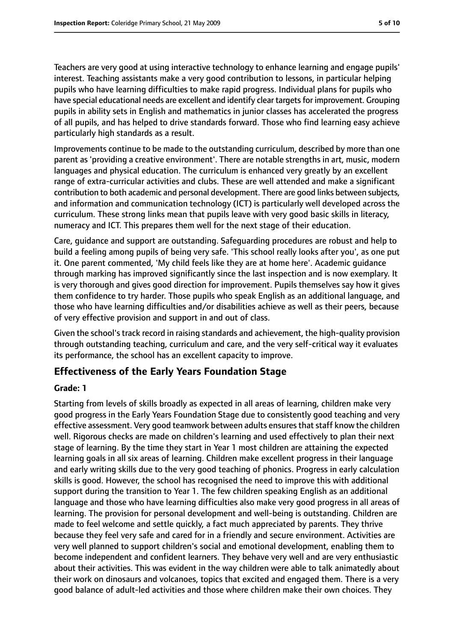Teachers are very good at using interactive technology to enhance learning and engage pupils' interest. Teaching assistants make a very good contribution to lessons, in particular helping pupils who have learning difficulties to make rapid progress. Individual plans for pupils who have special educational needs are excellent and identify clear targets for improvement. Grouping pupils in ability sets in English and mathematics in junior classes has accelerated the progress of all pupils, and has helped to drive standards forward. Those who find learning easy achieve particularly high standards as a result.

Improvements continue to be made to the outstanding curriculum, described by more than one parent as 'providing a creative environment'. There are notable strengths in art, music, modern languages and physical education. The curriculum is enhanced very greatly by an excellent range of extra-curricular activities and clubs. These are well attended and make a significant contribution to both academic and personal development. There are good links between subjects, and information and communication technology (ICT) is particularly well developed across the curriculum. These strong links mean that pupils leave with very good basic skills in literacy, numeracy and ICT. This prepares them well for the next stage of their education.

Care, guidance and support are outstanding. Safeguarding procedures are robust and help to build a feeling among pupils of being very safe. 'This school really looks after you', as one put it. One parent commented, 'My child feels like they are at home here'. Academic guidance through marking has improved significantly since the last inspection and is now exemplary. It is very thorough and gives good direction for improvement. Pupils themselves say how it gives them confidence to try harder. Those pupils who speak English as an additional language, and those who have learning difficulties and/or disabilities achieve as well as their peers, because of very effective provision and support in and out of class.

Given the school's track record in raising standards and achievement, the high-quality provision through outstanding teaching, curriculum and care, and the very self-critical way it evaluates its performance, the school has an excellent capacity to improve.

#### **Effectiveness of the Early Years Foundation Stage**

#### **Grade: 1**

Starting from levels of skills broadly as expected in all areas of learning, children make very good progress in the Early Years Foundation Stage due to consistently good teaching and very effective assessment. Very good teamwork between adults ensures that staff know the children well. Rigorous checks are made on children's learning and used effectively to plan their next stage of learning. By the time they start in Year 1 most children are attaining the expected learning goals in all six areas of learning. Children make excellent progress in their language and early writing skills due to the very good teaching of phonics. Progress in early calculation skills is good. However, the school has recognised the need to improve this with additional support during the transition to Year 1. The few children speaking English as an additional language and those who have learning difficulties also make very good progress in all areas of learning. The provision for personal development and well-being is outstanding. Children are made to feel welcome and settle quickly, a fact much appreciated by parents. They thrive because they feel very safe and cared for in a friendly and secure environment. Activities are very well planned to support children's social and emotional development, enabling them to become independent and confident learners. They behave very well and are very enthusiastic about their activities. This was evident in the way children were able to talk animatedly about their work on dinosaurs and volcanoes, topics that excited and engaged them. There is a very good balance of adult-led activities and those where children make their own choices. They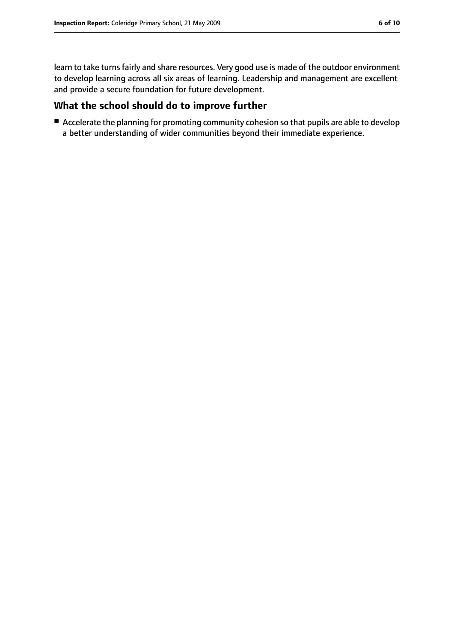learn to take turns fairly and share resources. Very good use is made of the outdoor environment to develop learning across all six areas of learning. Leadership and management are excellent and provide a secure foundation for future development.

#### **What the school should do to improve further**

■ Accelerate the planning for promoting community cohesion so that pupils are able to develop a better understanding of wider communities beyond their immediate experience.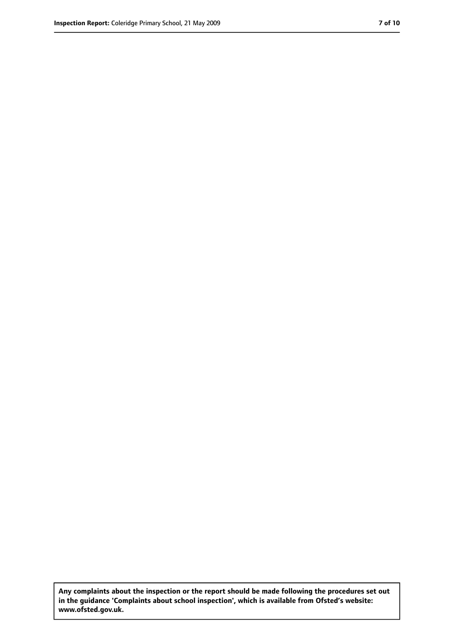**Any complaints about the inspection or the report should be made following the procedures set out in the guidance 'Complaints about school inspection', which is available from Ofsted's website: www.ofsted.gov.uk.**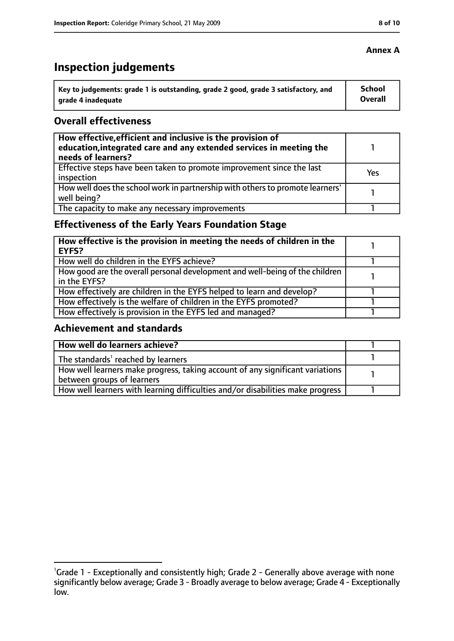# **Inspection judgements**

| \ Key to judgements: grade 1 is outstanding, grade 2 good, grade 3 satisfactory, and | <b>School</b>  |
|--------------------------------------------------------------------------------------|----------------|
| arade 4 inadequate                                                                   | <b>Overall</b> |

#### **Overall effectiveness**

| How effective, efficient and inclusive is the provision of<br>education, integrated care and any extended services in meeting the<br>needs of learners? |     |
|---------------------------------------------------------------------------------------------------------------------------------------------------------|-----|
| Effective steps have been taken to promote improvement since the last<br>inspection                                                                     | Yes |
| How well does the school work in partnership with others to promote learners'<br>well being?                                                            |     |
| The capacity to make any necessary improvements                                                                                                         |     |

### **Effectiveness of the Early Years Foundation Stage**

| How effective is the provision in meeting the needs of children in the<br>l EYFS?            |  |
|----------------------------------------------------------------------------------------------|--|
| How well do children in the EYFS achieve?                                                    |  |
| How good are the overall personal development and well-being of the children<br>in the EYFS? |  |
| How effectively are children in the EYFS helped to learn and develop?                        |  |
| How effectively is the welfare of children in the EYFS promoted?                             |  |
| How effectively is provision in the EYFS led and managed?                                    |  |

#### **Achievement and standards**

| How well do learners achieve?                                                  |  |
|--------------------------------------------------------------------------------|--|
| The standards <sup>1</sup> reached by learners                                 |  |
| How well learners make progress, taking account of any significant variations  |  |
| between groups of learners                                                     |  |
| How well learners with learning difficulties and/or disabilities make progress |  |

#### **Annex A**

<sup>&</sup>lt;sup>1</sup>Grade 1 - Exceptionally and consistently high; Grade 2 - Generally above average with none significantly below average; Grade 3 - Broadly average to below average; Grade 4 - Exceptionally low.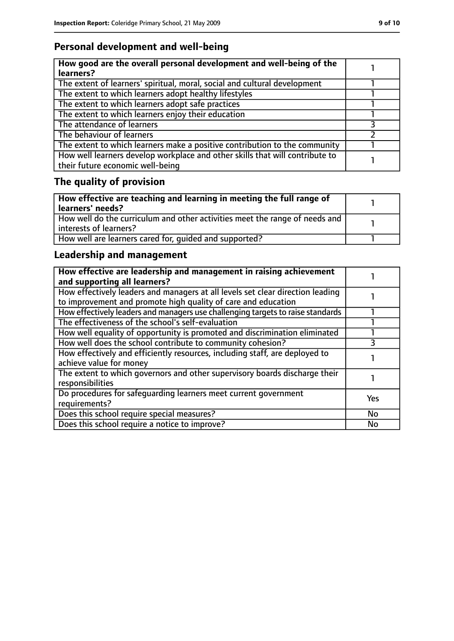### **Personal development and well-being**

| How good are the overall personal development and well-being of the<br>learners?                                 |  |
|------------------------------------------------------------------------------------------------------------------|--|
| The extent of learners' spiritual, moral, social and cultural development                                        |  |
| The extent to which learners adopt healthy lifestyles                                                            |  |
| The extent to which learners adopt safe practices                                                                |  |
| The extent to which learners enjoy their education                                                               |  |
| The attendance of learners                                                                                       |  |
| The behaviour of learners                                                                                        |  |
| The extent to which learners make a positive contribution to the community                                       |  |
| How well learners develop workplace and other skills that will contribute to<br>their future economic well-being |  |

# **The quality of provision**

| How effective are teaching and learning in meeting the full range of<br>learners' needs?              |  |
|-------------------------------------------------------------------------------------------------------|--|
| How well do the curriculum and other activities meet the range of needs and<br>interests of learners? |  |
| How well are learners cared for, quided and supported?                                                |  |

### **Leadership and management**

| How effective are leadership and management in raising achievement<br>and supporting all learners?                                              |            |
|-------------------------------------------------------------------------------------------------------------------------------------------------|------------|
| How effectively leaders and managers at all levels set clear direction leading<br>to improvement and promote high quality of care and education |            |
| How effectively leaders and managers use challenging targets to raise standards                                                                 |            |
| The effectiveness of the school's self-evaluation                                                                                               |            |
| How well equality of opportunity is promoted and discrimination eliminated                                                                      |            |
| How well does the school contribute to community cohesion?                                                                                      |            |
| How effectively and efficiently resources, including staff, are deployed to<br>achieve value for money                                          |            |
| The extent to which governors and other supervisory boards discharge their<br>responsibilities                                                  |            |
| Do procedures for safequarding learners meet current government<br>requirements?                                                                | <b>Yes</b> |
| Does this school require special measures?                                                                                                      | <b>No</b>  |
| Does this school require a notice to improve?                                                                                                   | No         |